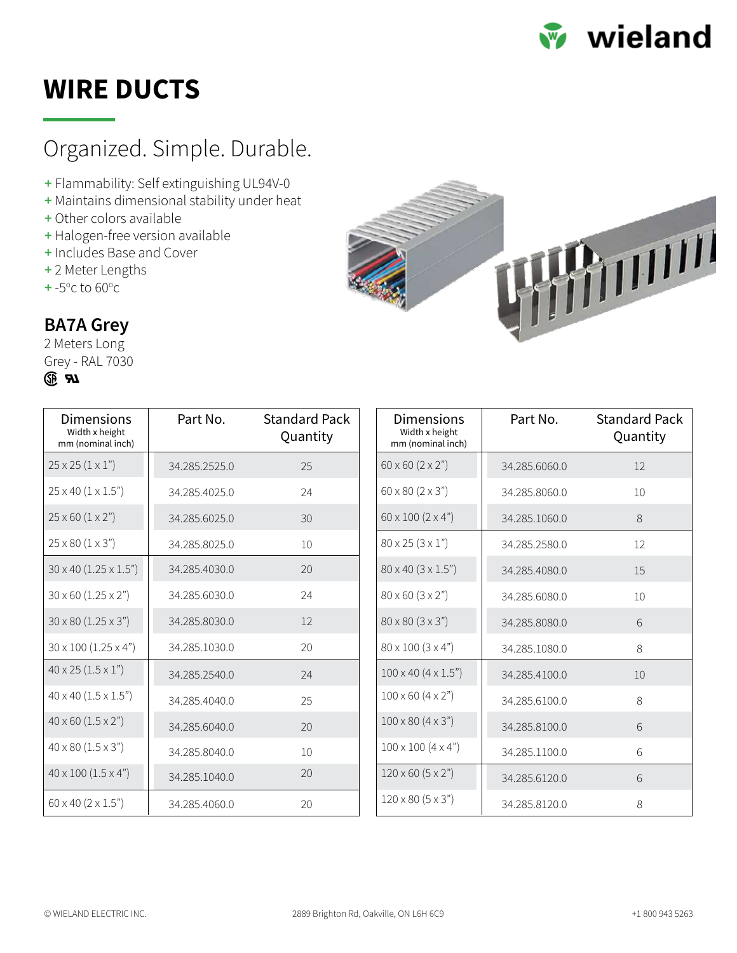

## **WIRE DUCTS**

### [Organized. Simple. Durable.](https://www.wieland-electric.ca/en-ca/products/wire-management)

- **+** Flammability: Self extinguishing UL94V-0
- **+** Maintains dimensional stability under heat
- **+** Other colors available
- **+** Halogen-free version available
- **+** Includes Base and Cover
- **+** 2 Meter Lengths
- **+** -5<sup>o</sup>c to 60<sup>o</sup>c



#### **BA7A Grey**

2 Meters Long Grey - RAL 7030



| Dimensions<br>Width x height<br>mm (nominal inch) | Part No.      | <b>Standard Pack</b><br>Quantity |
|---------------------------------------------------|---------------|----------------------------------|
| $25 \times 25 (1 \times 1")$                      | 34.285.2525.0 | 25                               |
| $25 \times 40 (1 \times 1.5")$                    | 34.285.4025.0 | 24                               |
| $25 \times 60 (1 \times 2")$                      | 34.285.6025.0 | 30                               |
| $25 \times 80 (1 \times 3")$                      | 34.285.8025.0 | 10                               |
| $30 \times 40 (1.25 \times 1.5")$                 | 34.285.4030.0 | 20                               |
| $30 \times 60$ (1.25 $\times$ 2")                 | 34.285.6030.0 | 24                               |
| $30 \times 80 (1.25 \times 3")$                   | 34.285.8030.0 | 12                               |
| $30 \times 100 (1.25 \times 4")$                  | 34.285.1030.0 | 20                               |
| $40 \times 25 (1.5 \times 1")$                    | 34.285.2540.0 | 24                               |
| $40 \times 40$ $(1.5 \times 1.5)$                 | 34.285.4040.0 | 25                               |
| $40 \times 60 (1.5 \times 2")$                    | 34.285.6040.0 | 20                               |
| $40 \times 80 (1.5 \times 3")$                    | 34.285.8040.0 | 10                               |
| $40 \times 100 (1.5 \times 4")$                   | 34.285.1040.0 | 20                               |
| $60 \times 40 (2 \times 1.5")$                    | 34.285.4060.0 | 20                               |

| Dimensions<br>Width x height<br>mm (nominal inch) | Part No.      | <b>Standard Pack</b><br>Quantity |
|---------------------------------------------------|---------------|----------------------------------|
| $60 \times 60 (2 \times 2")$                      | 34.285.6060.0 | 12                               |
| $60 \times 80 (2 \times 3")$                      | 34.285.8060.0 | 10                               |
| $60 \times 100 (2 \times 4")$                     | 34.285.1060.0 | 8                                |
| $80 \times 25 (3 \times 1")$                      | 34.285.2580.0 | 12                               |
| $80 \times 40 (3 \times 1.5")$                    | 34.285.4080.0 | 15                               |
| $80 \times 60 (3 \times 2")$                      | 34.285.6080.0 | 10                               |
| $80 \times 80 (3 \times 3")$                      | 34.285.8080.0 | 6                                |
| $80 \times 100 (3 \times 4")$                     | 34.285.1080.0 | 8                                |
| $100 \times 40 (4 \times 1.5")$                   | 34.285.4100.0 | 10                               |
| $100 \times 60 (4 \times 2")$                     | 34.285.6100.0 | 8                                |
| $100 \times 80 (4 \times 3")$                     | 34.285.8100.0 | 6                                |
| $100 \times 100 (4 \times 4")$                    | 34.285.1100.0 | 6                                |
| $120 \times 60 (5 \times 2")$                     | 34.285.6120.0 | 6                                |
| $120 \times 80 (5 \times 3")$                     | 34.285.8120.0 | 8                                |